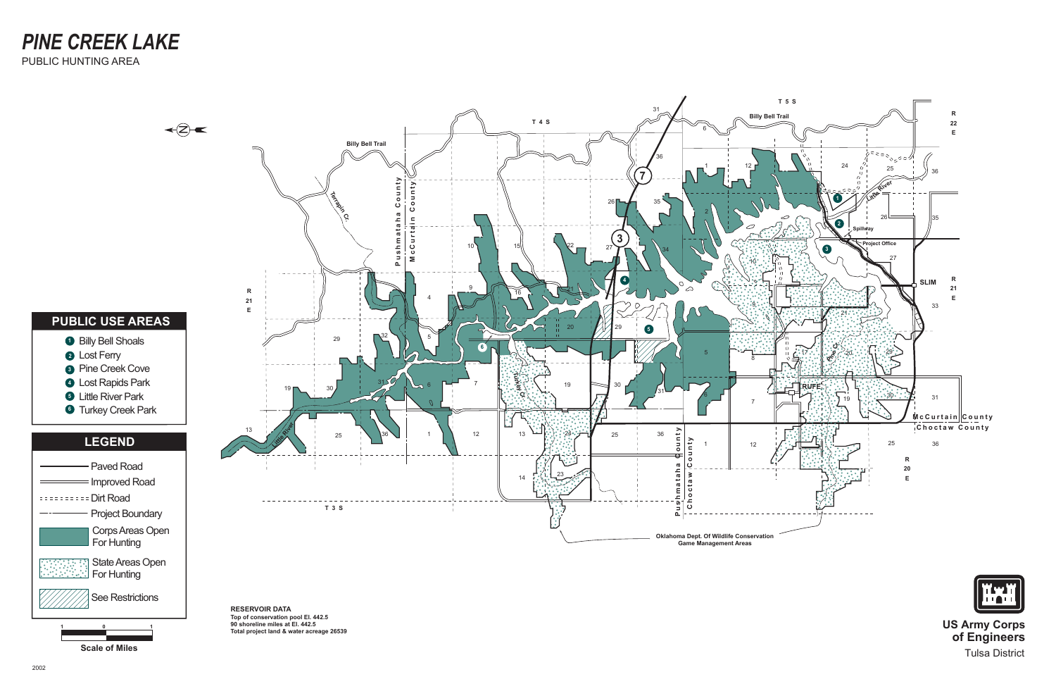

See Restrictions

**US Army Corps of Engineers** Tulsa District

**1**

**0**

**1**

**RESERVOIR DATA Top of conservation pool El. 442.5 90 shoreline miles at El. 442.5 Total project land & water acreage 26539**

**Scale of Miles**